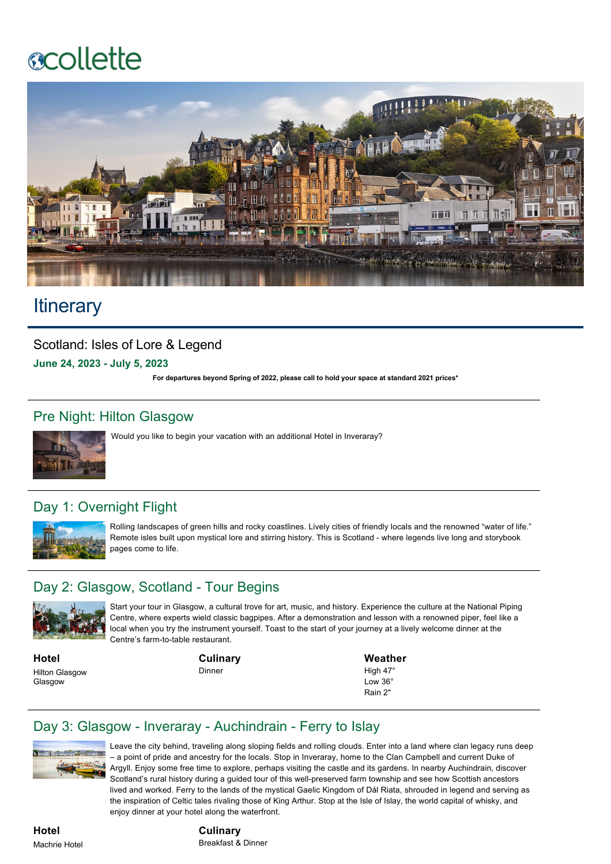# **ecollette**



# **Itinerary**

Scotland: Isles of Lore & Legend **June 24, 2023 July 5, 2023**

**For departures beyond Spring of 2022, please call to hold your space at standard 2021 prices\***

### Pre Night: Hilton Glasgow



Would you like to begin your vacation with an additional Hotel in Inveraray?

## Day 1: Overnight Flight



Rolling landscapes of green hills and rocky coastlines. Lively cities of friendly locals and the renowned "water of life." Remote isles built upon mystical lore and stirring history. This is Scotland - where legends live long and storybook pages come to life.

#### Day 2: Glasgow, Scotland - Tour Begins



Start your tour in Glasgow, a cultural trove for art, music, and history. Experience the culture at the National Piping Centre, where experts wield classic bagpipes. After a demonstration and lesson with a renowned piper, feel like a local when you try the instrument yourself. Toast to the start of your journey at a lively welcome dinner at the Centre's farm-to-table restaurant.

**Hotel** Hilton Glasgow Glasgow

**Culinary** Dinner

**Weather** High 47°

Low 36° Rain 2"

#### Day 3: Glasgow - Inveraray - Auchindrain - Ferry to Islay



Leave the city behind, traveling along sloping fields and rolling clouds. Enter into a land where clan legacy runs deep – a point of pride and ancestry for the locals. Stop in Inveraray, home to the Clan Campbell and current Duke of Argyll. Enjoy some free time to explore, perhaps visiting the castle and its gardens. In nearby Auchindrain, discover Scotland's rural history during a guided tour of this well-preserved farm township and see how Scottish ancestors lived and worked. Ferry to the lands of the mystical Gaelic Kingdom of Dál Riata, shrouded in legend and serving as the inspiration of Celtic tales rivaling those of King Arthur. Stop at the Isle of Islay, the world capital of whisky, and enjoy dinner at your hotel along the waterfront.

**Hotel** Machrie Hotel

**Culinary** Breakfast & Dinner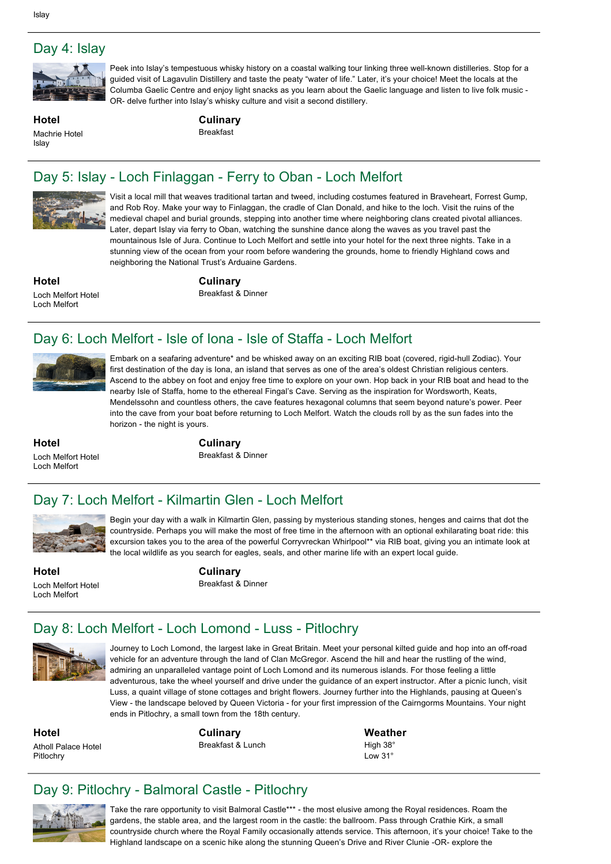

Peek into Islay's tempestuous whisky history on a coastal walking tour linking three well-known distilleries. Stop for a guided visit of Lagavulin Distillery and taste the peaty "water of life." Later, it's your choice! Meet the locals at the Columba Gaelic Centre and enjoy light snacks as you learn about the Gaelic language and listen to live folk music OR- delve further into Islay's whisky culture and visit a second distillery.

**Hotel** Machrie Hotel **Islay** 

**Culinary** Breakfast

## Day 5: Islay - Loch Finlaggan - Ferry to Oban - Loch Melfort



Visit a local mill that weaves traditional tartan and tweed, including costumes featured in Braveheart, Forrest Gump, and Rob Roy. Make your way to Finlaggan, the cradle of Clan Donald, and hike to the loch. Visit the ruins of the medieval chapel and burial grounds, stepping into another time where neighboring clans created pivotal alliances. Later, depart Islay via ferry to Oban, watching the sunshine dance along the waves as you travel past the mountainous Isle of Jura. Continue to Loch Melfort and settle into your hotel for the next three nights. Take in a stunning view of the ocean from your room before wandering the grounds, home to friendly Highland cows and neighboring the National Trust's Arduaine Gardens.

**Hotel** Loch Melfort Hotel Loch Melfort

**Culinary** Breakfast & Dinner

## Day 6: Loch Melfort - Isle of Iona - Isle of Staffa - Loch Melfort



Embark on a seafaring adventure\* and be whisked away on an exciting RIB boat (covered, rigid-hull Zodiac). Your first destination of the day is Iona, an island that serves as one of the area's oldest Christian religious centers. Ascend to the abbey on foot and enjoy free time to explore on your own. Hop back in your RIB boat and head to the nearby Isle of Staffa, home to the ethereal Fingal's Cave. Serving as the inspiration for Wordsworth, Keats, Mendelssohn and countless others, the cave features hexagonal columns that seem beyond nature's power. Peer into the cave from your boat before returning to Loch Melfort. Watch the clouds roll by as the sun fades into the horizon - the night is yours.

Begin your day with a walk in Kilmartin Glen, passing by mysterious standing stones, henges and cairns that dot the countryside. Perhaps you will make the most of free time in the afternoon with an optional exhilarating boat ride: this excursion takes you to the area of the powerful Corryvreckan Whirlpool\*\* via RIB boat, giving you an intimate look at

the local wildlife as you search for eagles, seals, and other marine life with an expert local guide.

**Hotel** Loch Melfort Hotel Loch Melfort

**Culinary**

Breakfast & Dinner

## Day 7: Loch Melfort - Kilmartin Glen - Loch Melfort



**Hotel** Loch Melfort Hotel Loch Melfort

**Culinary** Breakfast & Dinner

## Day 8: Loch Melfort - Loch Lomond - Luss - Pitlochry



Journey to Loch Lomond, the largest lake in Great Britain. Meet your personal kilted guide and hop into an offroad vehicle for an adventure through the land of Clan McGregor. Ascend the hill and hear the rustling of the wind, admiring an unparalleled vantage point of Loch Lomond and its numerous islands. For those feeling a little adventurous, take the wheel yourself and drive under the guidance of an expert instructor. After a picnic lunch, visit Luss, a quaint village of stone cottages and bright flowers. Journey further into the Highlands, pausing at Queen's View - the landscape beloved by Queen Victoria - for your first impression of the Cairngorms Mountains. Your night ends in Pitlochry, a small town from the 18th century.

**Hotel** Atholl Palace Hotel Pitlochry

**Culinary** Breakfast & Lunch **Weather** High 38° Low 31°

## Day 9: Pitlochry - Balmoral Castle - Pitlochry



Take the rare opportunity to visit Balmoral Castle\*\*\* the most elusive among the Royal residences. Roam the gardens, the stable area, and the largest room in the castle: the ballroom. Pass through Crathie Kirk, a small countryside church where the Royal Family occasionally attends service. This afternoon, it's your choice! Take to the Highland landscape on a scenic hike along the stunning Queen's Drive and River Clunie -OR- explore the